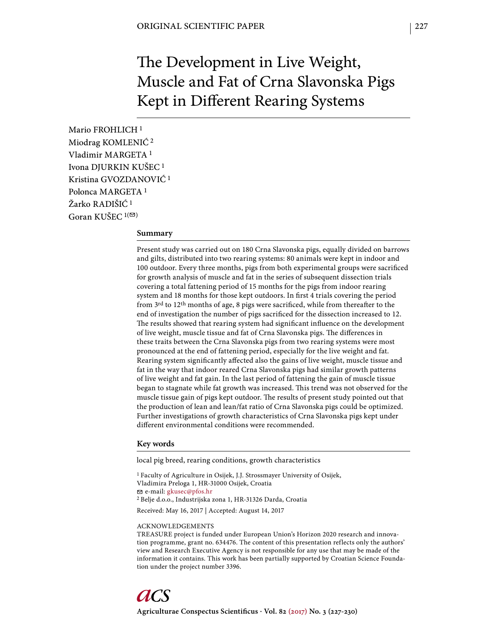# The Development in Live Weight, Muscle and Fat of Crna Slavonska Pigs Kept in Different Rearing Systems

Mario FROHLICH 1 Miodrag KOMLENIĆ 2 Vladimir MARGETA 1 Ivona DJURKIN KUŠEC 1 Kristina GVOZDANOVIĆ 1 Polonca MARGETA 1 Žarko RADIŠIĆ<sup>1</sup> Goran KUŠEC  $1($ 

### **Summary**

Present study was carried out on 180 Crna Slavonska pigs, equally divided on barrows and gilts, distributed into two rearing systems: 80 animals were kept in indoor and 100 outdoor. Every three months, pigs from both experimental groups were sacrificed for growth analysis of muscle and fat in the series of subsequent dissection trials covering a total fattening period of 15 months for the pigs from indoor rearing system and 18 months for those kept outdoors. In first 4 trials covering the period from  $3^{\text{rd}}$  to  $12^{\text{th}}$  months of age, 8 pigs were sacrificed, while from thereafter to the end of investigation the number of pigs sacrificed for the dissection increased to 12. The results showed that rearing system had significant influence on the development of live weight, muscle tissue and fat of Crna Slavonska pigs. The differences in these traits between the Crna Slavonska pigs from two rearing systems were most pronounced at the end of fattening period, especially for the live weight and fat. Rearing system significantly affected also the gains of live weight, muscle tissue and fat in the way that indoor reared Crna Slavonska pigs had similar growth patterns of live weight and fat gain. In the last period of fattening the gain of muscle tissue began to stagnate while fat growth was increased. This trend was not observed for the muscle tissue gain of pigs kept outdoor. The results of present study pointed out that the production of lean and lean/fat ratio of Crna Slavonska pigs could be optimized. Further investigations of growth characteristics of Crna Slavonska pigs kept under different environmental conditions were recommended.

### **Key words**

local pig breed, rearing conditions, growth characteristics

1 Faculty of Agriculture in Osijek, J.J. Strossmayer University of Osijek, Vladimira Preloga 1, HR-31000 Osijek, Croatia e-mail: gkusec@pfos.hr 2 Belje d.o.o., Industrijska zona 1, HR-31326 Darda, Croatia Received: May 16, 2017 | Accepted: August 14, 2017

#### ACKNOWLEDGEMENTS

TREASURE project is funded under European Union's Horizon 2020 research and innovation programme, grant no. 634476. The content of this presentation reflects only the authors' view and Research Executive Agency is not responsible for any use that may be made of the information it contains. This work has been partially supported by Croatian Science Foundation under the project number 3396.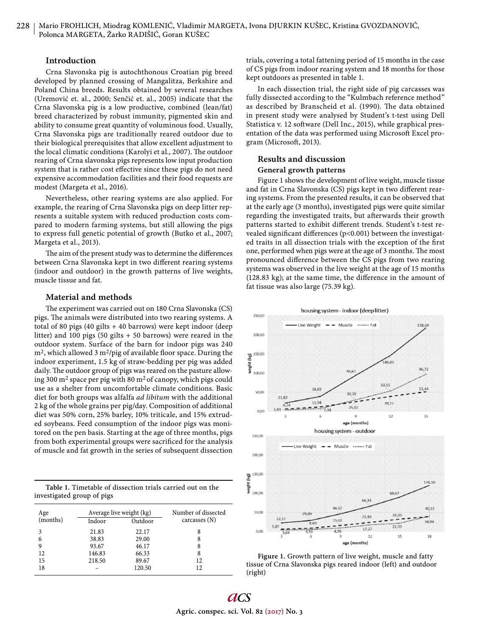### **Introduction**

Crna Slavonska pig is autochthonous Croatian pig breed developed by planned crossing of Mangalitza, Berkshire and Poland China breeds. Results obtained by several researches (Uremović et. al., 2000; Senčić et. al., 2005) indicate that the Crna Slavonska pig is a low productive, combined (lean/fat) breed characterized by robust immunity, pigmented skin and ability to consume great quantity of voluminous food. Usually, Crna Slavonska pigs are traditionally reared outdoor due to their biological prerequisites that allow excellent adjustment to the local climatic conditions (Karolyi et al., 2007). The outdoor rearing of Crna slavonska pigs represents low input production system that is rather cost effective since these pigs do not need expensive accommodation facilities and their food requests are modest (Margeta et al., 2016).

Nevertheless, other rearing systems are also applied. For example, the rearing of Crna Slavonska pigs on deep litter represents a suitable system with reduced production costs compared to modern farming systems, but still allowing the pigs to express full genetic potential of growth (Butko et al., 2007; Margeta et al., 2013).

The aim of the present study was to determine the differences between Crna Slavonska kept in two different rearing systems (indoor and outdoor) in the growth patterns of live weights, muscle tissue and fat.

### **Material and methods**

The experiment was carried out on 180 Crna Slavonska (CS) pigs. The animals were distributed into two rearing systems. A total of 80 pigs (40 gilts + 40 barrows) were kept indoor (deep litter) and 100 pigs (50 gilts + 50 barrows) were reared in the outdoor system. Surface of the barn for indoor pigs was 240  $m<sup>2</sup>$ , which allowed 3 m<sup>2</sup>/pig of available floor space. During the indoor experiment, 1.5 kg of straw-bedding per pig was added daily. The outdoor group of pigs was reared on the pasture allowing 300 m2 space per pig with 80 m2 of canopy, which pigs could use as a shelter from uncomfortable climate conditions. Basic diet for both groups was alfalfa *ad libitum* with the additional 2 kg of the whole grains per pig/day. Composition of additional diet was 50% corn, 25% barley, 10% triticale, and 15% extruded soybeans. Feed consumption of the indoor pigs was monitored on the pen basis. Starting at the age of three months, pigs from both experimental groups were sacrificed for the analysis of muscle and fat growth in the series of subsequent dissection

| Table 1. Timetable of dissection trials carried out on the |  |  |  |
|------------------------------------------------------------|--|--|--|
| investigated group of pigs                                 |  |  |  |

| Age      | Average live weight (kg) |         | Number of dissected |  |  |  |
|----------|--------------------------|---------|---------------------|--|--|--|
| (months) | Indoor                   | Outdoor | carcasses $(N)$     |  |  |  |
|          | 21.83                    | 22.17   | 8                   |  |  |  |
| 6        | 38.83                    | 29.00   | 8                   |  |  |  |
| 9        | 93.67                    | 46.17   | 8                   |  |  |  |
| 12       | 146.83                   | 66.33   | 8                   |  |  |  |
| 15       | 218.50                   | 89.67   | 12                  |  |  |  |
| 18       |                          | 120.50  | 12                  |  |  |  |

trials, covering a total fattening period of 15 months in the case of CS pigs from indoor rearing system and 18 months for those kept outdoors as presented in table 1.

In each dissection trial, the right side of pig carcasses was fully dissected according to the "Kulmbach reference method" as described by Branscheid et al. (1990). The data obtained in present study were analysed by Student's t-test using Dell Statistica v. 12 software (Dell Inc., 2015), while graphical presentation of the data was performed using Microsoft Excel program (Microsoft, 2013).

# **Results and discussion**

## **General growth patterns**

Figure 1 shows the development of live weight, muscle tissue and fat in Crna Slavonska (CS) pigs kept in two different rearing systems. From the presented results, it can be observed that at the early age (3 months), investigated pigs were quite similar regarding the investigated traits, but afterwards their growth patterns started to exhibit different trends. Student's t-test revealed significant differences ( $p$ <0.001) between the investigated traits in all dissection trials with the exception of the first one, performed when pigs were at the age of 3 months. The most pronounced difference between the CS pigs from two rearing systems was observed in the live weight at the age of 15 months  $(128.83 \text{ kg})$ ; at the same time, the difference in the amount of fat tissue was also large (75.39 kg).



Figure 1. Growth pattern of live weight, muscle and fatty tissue of Crna Slavonska pigs reared indoor (left) and outdoor (right)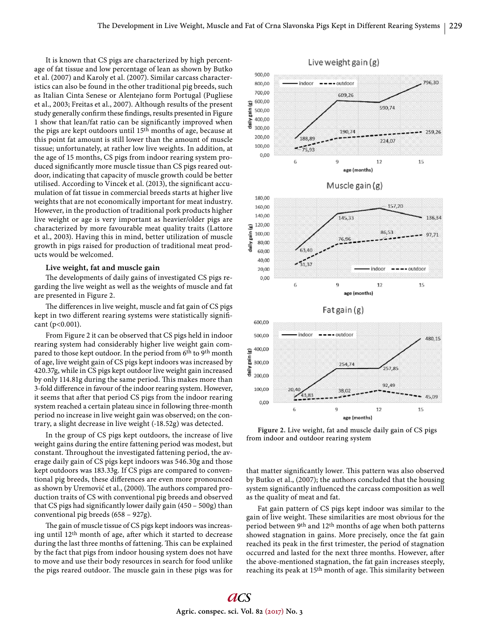It is known that CS pigs are characterized by high percentage of fat tissue and low percentage of lean as shown by Butko et al. (2007) and Karoly et al. (2007). Similar carcass characteristics can also be found in the other traditional pig breeds, such as Italian Cinta Senese or Alentejano form Portugal (Pugliese et al., 2003; Freitas et al., 2007). Although results of the present study generally confirm these findings, results presented in Figure 1 show that lean/fat ratio can be significantly improved when the pigs are kept outdoors until 15th months of age, because at this point fat amount is still lower than the amount of muscle tissue; unfortunately, at rather low live weights. In addition, at the age of 15 months, CS pigs from indoor rearing system produced significantly more muscle tissue than CS pigs reared outdoor, indicating that capacity of muscle growth could be better utilised. According to Vincek et al. (2013), the significant accumulation of fat tissue in commercial breeds starts at higher live weights that are not economically important for meat industry. However, in the production of traditional pork products higher live weight or age is very important as heavier/older pigs are characterized by more favourable meat quality traits (Lattore et al., 2003). Having this in mind, better utilization of muscle growth in pigs raised for production of traditional meat products would be welcomed.

### **Live weight, fat and muscle gain**

The developments of daily gains of investigated CS pigs regarding the live weight as well as the weights of muscle and fat are presented in Figure 2.

The differences in live weight, muscle and fat gain of CS pigs kept in two different rearing systems were statistically significant (p<0.001).

From Figure 2 it can be observed that CS pigs held in indoor rearing system had considerably higher live weight gain compared to those kept outdoor. In the period from 6<sup>th</sup> to 9<sup>th</sup> month of age, live weight gain of CS pigs kept indoors was increased by 420.37g, while in CS pigs kept outdoor live weight gain increased by only 114.81g during the same period. This makes more than 3-fold difference in favour of the indoor rearing system. However, it seems that after that period CS pigs from the indoor rearing system reached a certain plateau since in following three-month period no increase in live weight gain was observed; on the contrary, a slight decrease in live weight (-18.52g) was detected.

In the group of CS pigs kept outdoors, the increase of live weight gains during the entire fattening period was modest, but constant. Throughout the investigated fattening period, the average daily gain of CS pigs kept indoors was 546.30g and those kept outdoors was 183.33g. If CS pigs are compared to conventional pig breeds, these differences are even more pronounced as shown by Uremović et al., (2000). The authors compared production traits of CS with conventional pig breeds and observed that CS pigs had significantly lower daily gain  $(450 - 500g)$  than conventional pig breeds (658 – 927g).

The gain of muscle tissue of CS pigs kept indoors was increasing until  $12<sup>th</sup>$  month of age, after which it started to decrease during the last three months of fattening. This can be explained by the fact that pigs from indoor housing system does not have to move and use their body resources in search for food unlike the pigs reared outdoor. The muscle gain in these pigs was for



**Figure 2.** Live weight, fat and muscle daily gain of CS pigs from indoor and outdoor rearing system

that matter significantly lower. This pattern was also observed by Butko et al., (2007); the authors concluded that the housing system significantly influenced the carcass composition as well as the quality of meat and fat.

Fat gain pattern of CS pigs kept indoor was similar to the gain of live weight. These similarities are most obvious for the period between 9th and 12th months of age when both patterns showed stagnation in gains. More precisely, once the fat gain reached its peak in the first trimester, the period of stagnation occurred and lasted for the next three months. However, after the above-mentioned stagnation, the fat gain increases steeply, reaching its peak at 15<sup>th</sup> month of age. This similarity between